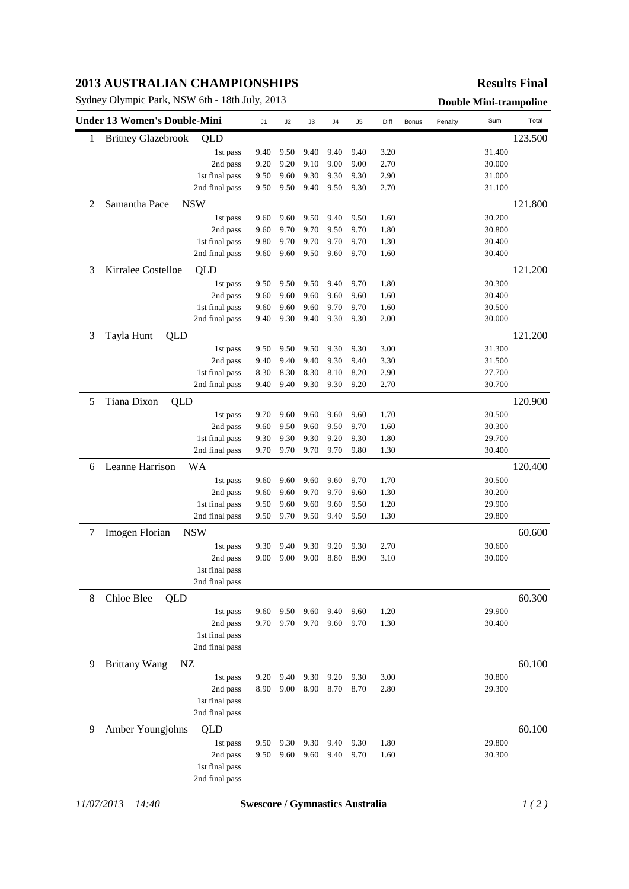## **2013 AUSTRALIAN CHAMPIONSHIPS**

Sydney Olympic Park, NSW 6th - 18th July, 2013 **Double Mini-trampoline** 

## **Results Final**

|   | <b>Under 13 Women's Double-Mini</b> |                | J1   | J2   | J3   | J <sub>4</sub> | J <sub>5</sub> | Diff | Bonus | Penalty | Sum     | Total   |
|---|-------------------------------------|----------------|------|------|------|----------------|----------------|------|-------|---------|---------|---------|
| 1 | <b>Britney Glazebrook</b>           | QLD            |      |      |      |                |                |      |       |         |         | 123.500 |
|   |                                     | 1st pass       | 9.40 | 9.50 | 9.40 | 9.40           | 9.40           | 3.20 |       |         | 31.400  |         |
|   |                                     | 2nd pass       | 9.20 | 9.20 | 9.10 | 9.00           | 9.00           | 2.70 |       |         | 30.000  |         |
|   |                                     | 1st final pass | 9.50 | 9.60 | 9.30 | 9.30           | 9.30           | 2.90 |       |         | 31.000  |         |
|   |                                     | 2nd final pass | 9.50 | 9.50 | 9.40 | 9.50           | 9.30           | 2.70 |       |         | 31.100  |         |
| 2 | Samantha Pace                       | <b>NSW</b>     |      |      |      |                |                |      |       |         |         | 121.800 |
|   |                                     | 1st pass       | 9.60 | 9.60 | 9.50 | 9.40           | 9.50           | 1.60 |       |         | 30.200  |         |
|   |                                     | 2nd pass       | 9.60 | 9.70 | 9.70 | 9.50           | 9.70           | 1.80 |       |         | 30.800  |         |
|   |                                     | 1st final pass | 9.80 | 9.70 | 9.70 | 9.70           | 9.70           | 1.30 |       |         | 30.400  |         |
|   |                                     | 2nd final pass | 9.60 | 9.60 | 9.50 | 9.60           | 9.70           | 1.60 |       |         | 30.400  |         |
| 3 | Kirralee Costelloe                  | QLD            |      |      |      |                |                |      |       |         |         | 121.200 |
|   |                                     | 1st pass       | 9.50 | 9.50 | 9.50 | 9.40           | 9.70           | 1.80 |       |         | 30.300  |         |
|   |                                     | 2nd pass       | 9.60 | 9.60 | 9.60 | 9.60           | 9.60           | 1.60 |       |         | 30.400  |         |
|   |                                     | 1st final pass | 9.60 | 9.60 | 9.60 | 9.70           | 9.70           | 1.60 |       |         | 30.500  |         |
|   |                                     | 2nd final pass | 9.40 | 9.30 | 9.40 | 9.30           | 9.30           | 2.00 |       |         | 30.000  |         |
| 3 | Tayla Hunt<br>QLD                   |                |      |      |      |                |                |      |       |         | 121.200 |         |
|   |                                     | 1st pass       | 9.50 | 9.50 | 9.50 | 9.30           | 9.30           | 3.00 |       |         | 31.300  |         |
|   |                                     | 2nd pass       | 9.40 | 9.40 | 9.40 | 9.30           | 9.40           | 3.30 |       |         | 31.500  |         |
|   |                                     | 1st final pass | 8.30 | 8.30 | 8.30 | 8.10           | 8.20           | 2.90 |       |         | 27.700  |         |
|   |                                     | 2nd final pass | 9.40 | 9.40 | 9.30 | 9.30           | 9.20           | 2.70 |       |         | 30.700  |         |
| 5 | Tiana Dixon<br>QLD                  |                |      |      |      |                |                |      |       |         |         | 120.900 |
|   |                                     | 1st pass       | 9.70 | 9.60 | 9.60 | 9.60           | 9.60           | 1.70 |       |         | 30.500  |         |
|   |                                     | 2nd pass       | 9.60 | 9.50 | 9.60 | 9.50           | 9.70           | 1.60 |       |         | 30.300  |         |
|   |                                     | 1st final pass | 9.30 | 9.30 | 9.30 | 9.20           | 9.30           | 1.80 |       |         | 29.700  |         |
|   |                                     | 2nd final pass | 9.70 | 9.70 | 9.70 | 9.70           | 9.80           | 1.30 |       |         | 30.400  |         |
| 6 | Leanne Harrison                     | <b>WA</b>      |      |      |      |                |                |      |       |         |         | 120.400 |
|   |                                     | 1st pass       | 9.60 | 9.60 | 9.60 | 9.60           | 9.70           | 1.70 |       |         | 30.500  |         |
|   |                                     | 2nd pass       | 9.60 | 9.60 | 9.70 | 9.70           | 9.60           | 1.30 |       |         | 30.200  |         |
|   |                                     | 1st final pass | 9.50 | 9.60 | 9.60 | 9.60           | 9.50           | 1.20 |       |         | 29.900  |         |
|   |                                     | 2nd final pass | 9.50 | 9.70 | 9.50 | 9.40           | 9.50           | 1.30 |       |         | 29.800  |         |
| 7 | <b>Imogen Florian</b>               | <b>NSW</b>     |      |      |      |                |                |      |       |         |         | 60.600  |
|   |                                     | 1st pass       | 9.30 | 9.40 | 9.30 | 9.20           | 9.30           | 2.70 |       |         | 30.600  |         |
|   |                                     | 2nd pass       | 9.00 | 9.00 | 9.00 | 8.80           | 8.90           | 3.10 |       |         | 30.000  |         |
|   |                                     | 1st final pass |      |      |      |                |                |      |       |         |         |         |
|   |                                     | 2nd final pass |      |      |      |                |                |      |       |         |         |         |
| 8 | Chloe Blee<br>QLD                   |                |      |      |      |                |                |      |       |         |         | 60.300  |
|   |                                     | 1st pass       | 9.60 | 9.50 | 9.60 | 9.40           | 9.60           | 1.20 |       |         | 29.900  |         |
|   |                                     | 2nd pass       | 9.70 | 9.70 | 9.70 | 9.60           | 9.70           | 1.30 |       |         | 30.400  |         |
|   |                                     | 1st final pass |      |      |      |                |                |      |       |         |         |         |
|   |                                     | 2nd final pass |      |      |      |                |                |      |       |         |         |         |
| 9 | <b>Brittany Wang</b><br>NZ          |                |      |      |      |                |                |      |       |         |         | 60.100  |
|   |                                     | 1st pass       | 9.20 | 9.40 | 9.30 | 9.20           | 9.30           | 3.00 |       |         | 30.800  |         |
|   |                                     | 2nd pass       | 8.90 | 9.00 | 8.90 | 8.70           | 8.70           | 2.80 |       |         | 29.300  |         |
|   |                                     | 1st final pass |      |      |      |                |                |      |       |         |         |         |
|   |                                     | 2nd final pass |      |      |      |                |                |      |       |         |         |         |
| 9 | Amber Youngjohns                    | QLD            |      |      |      |                |                |      |       |         |         | 60.100  |
|   |                                     | 1st pass       | 9.50 | 9.30 | 9.30 | 9.40           | 9.30           | 1.80 |       |         | 29.800  |         |
|   |                                     | 2nd pass       | 9.50 | 9.60 | 9.60 | 9.40           | 9.70           | 1.60 |       |         | 30.300  |         |
|   |                                     | 1st final pass |      |      |      |                |                |      |       |         |         |         |
|   |                                     | 2nd final pass |      |      |      |                |                |      |       |         |         |         |

*11/07/2013 14:40* **Swescore / Gymnastics Australia** *1 ( 2 )*